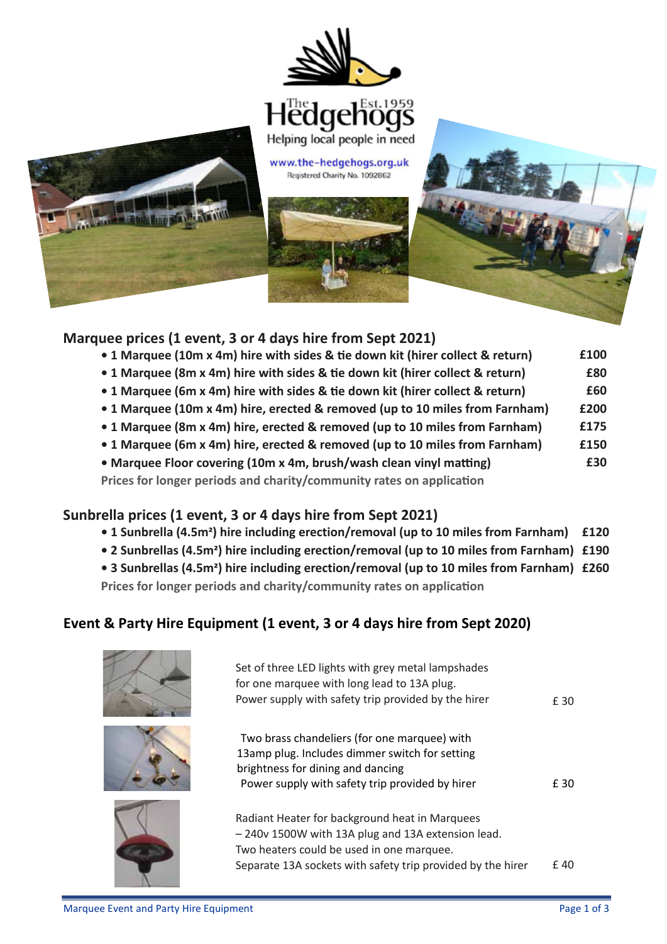





## Marquee prices (1 event, 3 or 4 days hire from Sept 2020) **Marquee prices (1 event, 3 or 4 days hire from Sept 2021)**

- 1 Marquee (10m x 4m) hire with sides & tie down kit (hirer collect & return) **E** 1 **£100**
- 1 Marquee (8m x 4m) hire with sides & tie down kit (hirer collect & return) **E £80**
- 1 Marquee (6m x 4m) hire with sides & tie down kit (hirer collect & return) **F**  $2.4 M<sub>2</sub>$  marquee (sm. x mi) mis with stace at the action mic (under concern and military  $P$ **£60**
- 1 Marquee (10m x 4m) hire, erected & removed (up to 10 miles from Farnham) £2 **£200**
	- **1 Marquee (2000)** hire, erected & removed (up to 10 miles from Farnham) **E1 £175** I Marquee (6m x 4m) hire, elected & temoved (dp to 10 miles nominal marmani)  $\overline{a}$
	- 1 Marquee (6m x 4m) hire, erected & removed (up to 10 miles from Farnham) f1 **£150**
- Marquee Floor covering (10m x 4m, brush/wash clean vinyl matting) **E £30**

Prices for longer periods and charity/community rates on application

## Sunbrella prices (1 event, 3 or 4 days hire from Sept 2021)

- 1 Sunbrella (4.5m<sup>2</sup>) hire including erection/removal (up to 10 miles from Farnham) £120
	- **2 Sunbrellas (4.5m<sup>2</sup>) hire including erection/removal (up to 10 miles from Farnham) £190**
- 2 Sunstellas (4.5m<sup>2</sup>) hire including erection/removal (up to 10 miles from Farnham) £260<br>• 3 Sunbrellas (4.5m<sup>2</sup>) hire including erection/removal (up to 10 miles from Farnham) £260 **Prices for longer periods and charity/community rates on application** 3 Sunbrellas (4.5m square) hire including erection removal (up to 10 miles from Farmiam) £240 a. Prices for longer periods and charity/community rates on application

#### Event & Party Hire Equipment (1 event, 3 or 4 days hire from Sept 2020)  $P$  supply with safety trip provided by trip provided by  $\mathbb{Z}$  255  $\mathbb{Z}$  255  $\mathbb{Z}$  255  $\mathbb{Z}$  255  $\mathbb{Z}$  255  $\mathbb{Z}$  255  $\mathbb{Z}$  255  $\mathbb{Z}$  255  $\mathbb{Z}$  255  $\mathbb{Z}$  255  $\mathbb{Z}$  255  $\mathbb{Z}$  255  $\mathbb{Z}$





l

| Set of three LED lights with grey metal lampshades<br>for one marquee with long lead to 13A plug.<br>Power supply with safety trip provided by the hirer | £ 30 |
|----------------------------------------------------------------------------------------------------------------------------------------------------------|------|
| Two brass chandeliers (for one marquee) with<br>13amp plug. Includes dimmer switch for setting                                                           |      |
| brightness for dining and dancing<br>Power supply with safety trip provided by hirer                                                                     | £ 30 |
| Radiant Heater for background heat in Marquees<br>-240v 1500W with 13A plug and 13A extension lead.                                                      |      |
| Two heaters could be used in one marquee.                                                                                                                |      |
| Separate 13A sockets with safety trip provided by the hirer                                                                                              | £ 40 |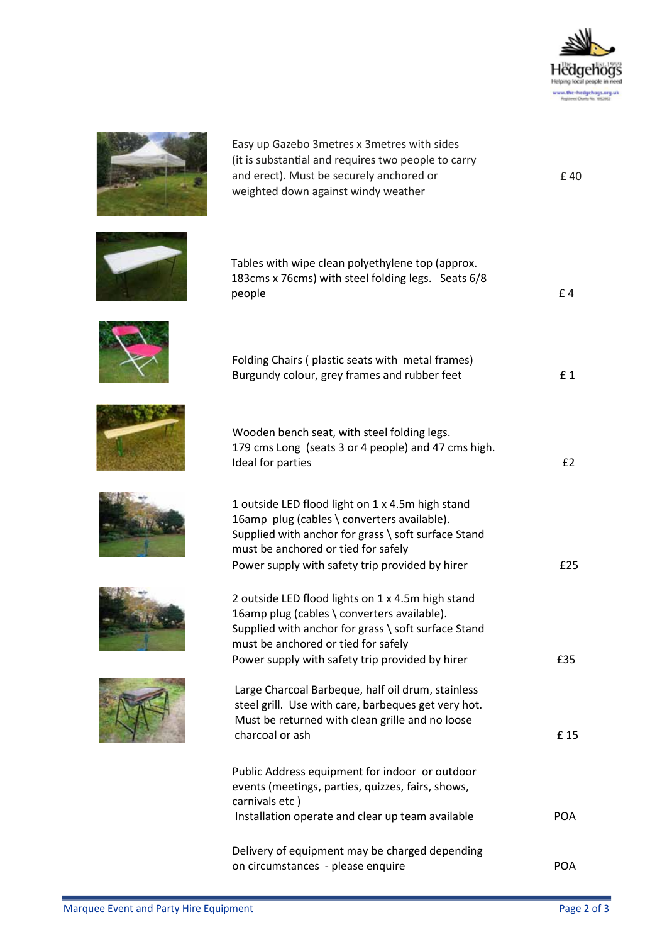

£ 40



and erect). Must be securely anchored or weighted down against windy weather (it is substantial and requires two people to carry Easy up Gazebo 3metres x 3metres with sides















| Tables with wipe clean polyethylene top (approx.<br>183cms x 76cms) with steel folding legs. Seats 6/8<br>people                                                                                                                                  | £4         |
|---------------------------------------------------------------------------------------------------------------------------------------------------------------------------------------------------------------------------------------------------|------------|
| Folding Chairs (plastic seats with metal frames)<br>Burgundy colour, grey frames and rubber feet                                                                                                                                                  | £1         |
| Wooden bench seat, with steel folding legs.<br>179 cms Long (seats 3 or 4 people) and 47 cms high.<br>Ideal for parties                                                                                                                           | £2         |
| 1 outside LED flood light on 1 x 4.5m high stand<br>16amp plug (cables \ converters available).<br>Supplied with anchor for grass \ soft surface Stand<br>must be anchored or tied for safely<br>Power supply with safety trip provided by hirer  | £25        |
| 2 outside LED flood lights on 1 x 4.5m high stand<br>16amp plug (cables \ converters available).<br>Supplied with anchor for grass \ soft surface Stand<br>must be anchored or tied for safely<br>Power supply with safety trip provided by hirer | £35        |
| Large Charcoal Barbeque, half oil drum, stainless<br>steel grill. Use with care, barbeques get very hot.<br>Must be returned with clean grille and no loose<br>charcoal or ash                                                                    | £15        |
| Public Address equipment for indoor or outdoor<br>events (meetings, parties, quizzes, fairs, shows,<br>carnivals etc)<br>Installation operate and clear up team available                                                                         | <b>POA</b> |
| Delivery of equipment may be charged depending<br>on circumstances - please enquire                                                                                                                                                               | <b>POA</b> |